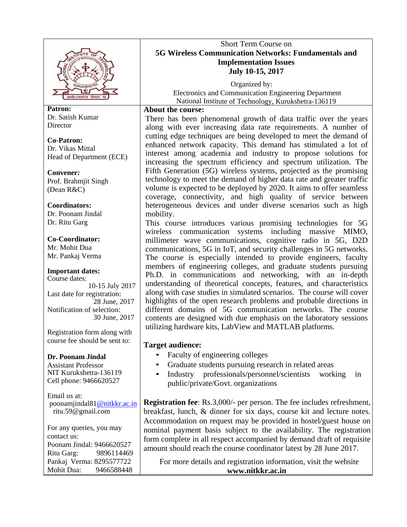

**Patron:**  Dr. Satish Kumar **Director** 

**Co-Patron:**  Dr. Vikas Mittal Head of Department (ECE)

**Convener:** Prof. Brahmjit Singh (Dean R&C)

**Coordinators:**  Dr. Poonam Jindal Dr. Ritu Garg

**Co-Coordinator:**  Mr. Mohit Dua Mr. Pankaj Verma

**Important dates:** Course dates: 10-15 July 2017 Last date for registration: 28 June, 2017 Notification of selection: 30 June, 2017

Registration form along with course fee should be sent to:

### **Dr. Poonam Jindal**

Assistant Professor NIT Kurukshetra-136119 Cell phone: 9466620527

Email us at: poonamjindal81@nitkkr.ac.in ritu.59@gmail.com

For any queries, you may contact us: Poonam Jindal: 9466620527 Ritu Garg: 9896114469 Pankaj Verma: 8295577722 Mohit Dua: 9466588448

# Short Term Course on **5G Wireless Communication Networks: Fundamentals and Implementation Issues July 10-15, 2017**

 Organized by: Electronics and Communication Engineering Department National Institute of Technology, Kurukshetra-136119

#### **About the course:**

There has been phenomenal growth of data traffic over the years along with ever increasing data rate requirements. A number of cutting edge techniques are being developed to meet the demand of enhanced network capacity. This demand has stimulated a lot of interest among academia and industry to propose solutions for increasing the spectrum efficiency and spectrum utilization. The Fifth Generation (5G) wireless systems, projected as the promising technology to meet the demand of higher data rate and greater traffic volume is expected to be deployed by 2020. It aims to offer seamless coverage, connectivity, and high quality of service between heterogeneous devices and under diverse scenarios such as high mobility.

This course introduces various promising technologies for 5G wireless communication systems including massive MIMO, millimeter wave communications, cognitive radio in 5G, D2D communications, 5G in IoT, and security challenges in 5G networks. The course is especially intended to provide engineers, faculty members of engineering colleges, and graduate students pursuing Ph.D. in communications and networking, with an in-depth understanding of theoretical concepts, features, and characteristics along with case studies in simulated scenarios. The course will cover highlights of the open research problems and probable directions in different domains of 5G communication networks. The course contents are designed with due emphasis on the laboratory sessions utilizing hardware kits, LabView and MATLAB platforms.

# **Target audience:**

- Faculty of engineering colleges
- Graduate students pursuing research in related areas
- Industry professionals/personnel/scientists working in public/private/Govt. organizations

**Registration fee**: Rs.3,000/- per person. The fee includes refreshment, breakfast, lunch, & dinner for six days, course kit and lecture notes. Accommodation on request may be provided in hostel/guest house on nominal payment basis subject to the availability. The registration form complete in all respect accompanied by demand draft of requisite amount should reach the course coordinator latest by 28 June 2017.

For more details and registration information, visit the website **www.nitkkr.ac.in**